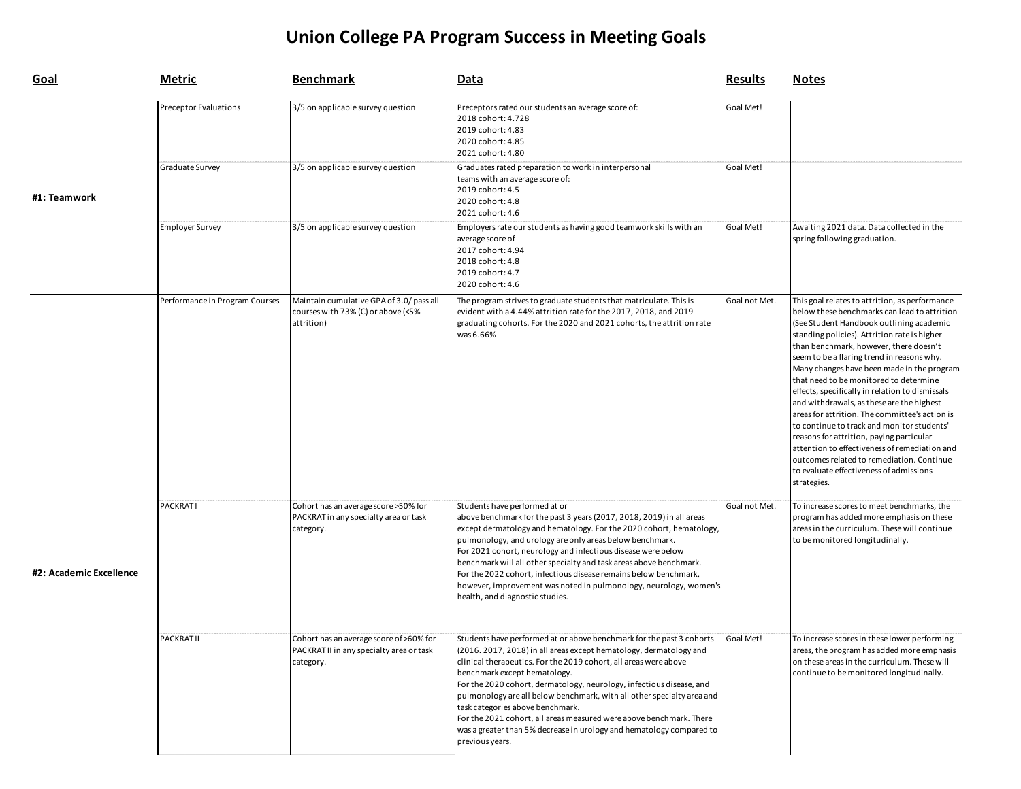## **Union College PA Program Success in Meeting Goals**

| <b>Goal</b>             | <b>Metric</b>                  | <b>Benchmark</b>                                                                                 | Data                                                                                                                                                                                                                                                                                                                                                                                                                                                                                                                                                                                                   | <b>Results</b> | <b>Notes</b>                                                                                                                                                                                                                                                                                                                                                                                                                                                                                                                                                                                                                                                                                                                                                                   |
|-------------------------|--------------------------------|--------------------------------------------------------------------------------------------------|--------------------------------------------------------------------------------------------------------------------------------------------------------------------------------------------------------------------------------------------------------------------------------------------------------------------------------------------------------------------------------------------------------------------------------------------------------------------------------------------------------------------------------------------------------------------------------------------------------|----------------|--------------------------------------------------------------------------------------------------------------------------------------------------------------------------------------------------------------------------------------------------------------------------------------------------------------------------------------------------------------------------------------------------------------------------------------------------------------------------------------------------------------------------------------------------------------------------------------------------------------------------------------------------------------------------------------------------------------------------------------------------------------------------------|
|                         | <b>Preceptor Evaluations</b>   | 3/5 on applicable survey question                                                                | Preceptors rated our students an average score of:<br>2018 cohort: 4.728<br>2019 cohort: 4.83<br>2020 cohort: 4.85<br>2021 cohort: 4.80                                                                                                                                                                                                                                                                                                                                                                                                                                                                | Goal Met!      |                                                                                                                                                                                                                                                                                                                                                                                                                                                                                                                                                                                                                                                                                                                                                                                |
| #1: Teamwork            | Graduate Survey                | 3/5 on applicable survey question                                                                | Graduates rated preparation to work in interpersonal<br>teams with an average score of:<br>2019 cohort: 4.5<br>2020 cohort: 4.8<br>2021 cohort: 4.6                                                                                                                                                                                                                                                                                                                                                                                                                                                    | Goal Met!      |                                                                                                                                                                                                                                                                                                                                                                                                                                                                                                                                                                                                                                                                                                                                                                                |
|                         | <b>Employer Survey</b>         | 3/5 on applicable survey question                                                                | Employers rate our students as having good teamwork skills with an<br>average score of<br>2017 cohort: 4.94<br>2018 cohort: 4.8<br>2019 cohort: 4.7<br>2020 cohort: 4.6                                                                                                                                                                                                                                                                                                                                                                                                                                | Goal Met!      | Awaiting 2021 data. Data collected in the<br>spring following graduation.                                                                                                                                                                                                                                                                                                                                                                                                                                                                                                                                                                                                                                                                                                      |
|                         | Performance in Program Courses | Maintain cumulative GPA of 3.0/pass all<br>courses with 73% (C) or above (<5%<br>attrition)      | The program strives to graduate students that matriculate. This is<br>evident with a 4.44% attrition rate for the 2017, 2018, and 2019<br>graduating cohorts. For the 2020 and 2021 cohorts, the attrition rate<br>was 6.66%                                                                                                                                                                                                                                                                                                                                                                           | Goal not Met.  | This goal relates to attrition, as performance<br>below these benchmarks can lead to attrition<br>(See Student Handbook outlining academic<br>standing policies). Attrition rate is higher<br>than benchmark, however, there doesn't<br>seem to be a flaring trend in reasons why.<br>Many changes have been made in the program<br>that need to be monitored to determine<br>effects, specifically in relation to dismissals<br>and withdrawals, as these are the highest<br>areas for attrition. The committee's action is<br>to continue to track and monitor students'<br>reasons for attrition, paying particular<br>attention to effectiveness of remediation and<br>outcomes related to remediation. Continue<br>to evaluate effectiveness of admissions<br>strategies. |
| #2: Academic Excellence | PACKRATI                       | Cohort has an average score > 50% for<br>PACKRAT in any specialty area or task<br>category.      | Students have performed at or<br>above benchmark for the past 3 years (2017, 2018, 2019) in all areas<br>except dermatology and hematology. For the 2020 cohort, hematology,<br>pulmonology, and urology are only areas below benchmark.<br>For 2021 cohort, neurology and infectious disease were below<br>benchmark will all other specialty and task areas above benchmark.<br>For the 2022 cohort, infectious disease remains below benchmark,<br>however, improvement was noted in pulmonology, neurology, women's<br>health, and diagnostic studies.                                             | Goal not Met.  | To increase scores to meet benchmarks, the<br>program has added more emphasis on these<br>areas in the curriculum. These will continue<br>to be monitored longitudinally.                                                                                                                                                                                                                                                                                                                                                                                                                                                                                                                                                                                                      |
|                         | <b>PACKRATII</b>               | Cohort has an average score of >60% for<br>PACKRAT II in any specialty area or task<br>category. | Students have performed at or above benchmark for the past 3 cohorts<br>(2016. 2017, 2018) in all areas except hematology, dermatology and<br>clinical therapeutics. For the 2019 cohort, all areas were above<br>benchmark except hematology.<br>For the 2020 cohort, dermatology, neurology, infectious disease, and<br>pulmonology are all below benchmark, with all other specialty area and<br>task categories above benchmark.<br>For the 2021 cohort, all areas measured were above benchmark. There<br>was a greater than 5% decrease in urology and hematology compared to<br>previous years. | Goal Met!      | To increase scores in these lower performing<br>areas, the program has added more emphasis<br>on these areas in the curriculum. These will<br>continue to be monitored longitudinally.                                                                                                                                                                                                                                                                                                                                                                                                                                                                                                                                                                                         |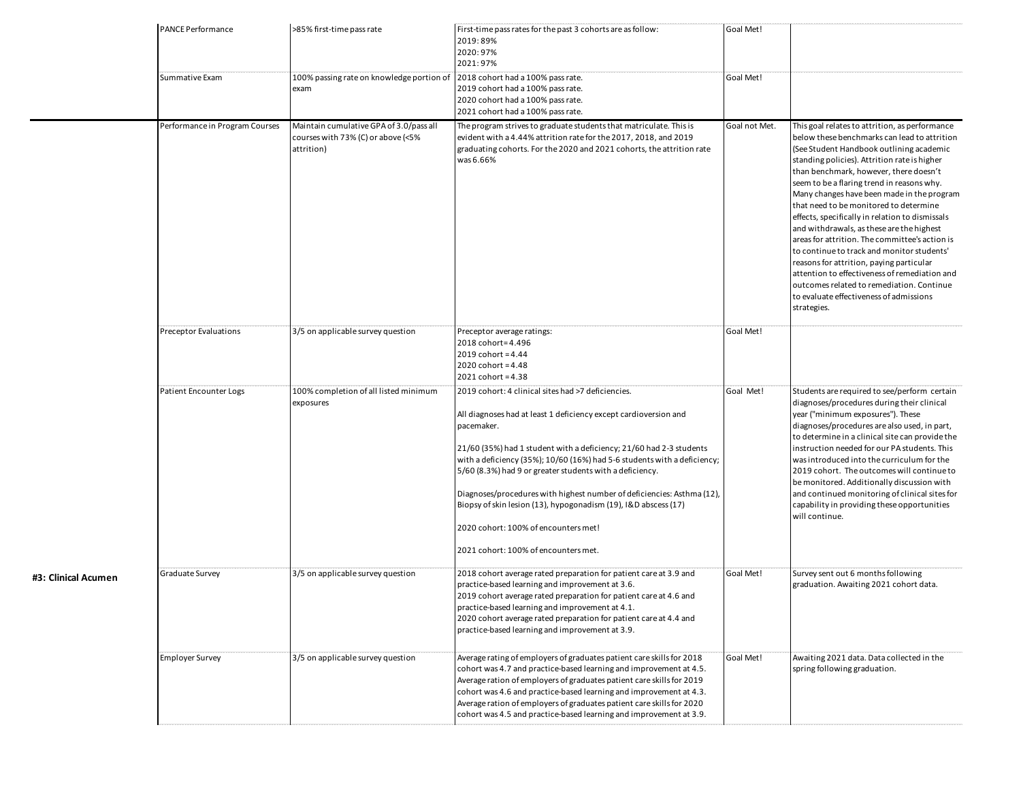| <b>PANCE Performance</b><br>Summative Exam | >85% first-time pass rate | First-time pass rates for the past 3 cohorts are as follow:<br>2019:89%<br>2020:97%<br>2021:97%<br>2018 cohort had a 100% pass rate.<br>2019 cohort had a 100% pass rate.                                                                                                                                                                                                                                                                                                                                                                                                        | Goal Met!<br>Goal Met!            |                                                                                                                                                                                                                                                                                                                                                                                                                                                                                                                                                                                                                                                                                                                                                                                |
|--------------------------------------------|---------------------------|----------------------------------------------------------------------------------------------------------------------------------------------------------------------------------------------------------------------------------------------------------------------------------------------------------------------------------------------------------------------------------------------------------------------------------------------------------------------------------------------------------------------------------------------------------------------------------|-----------------------------------|--------------------------------------------------------------------------------------------------------------------------------------------------------------------------------------------------------------------------------------------------------------------------------------------------------------------------------------------------------------------------------------------------------------------------------------------------------------------------------------------------------------------------------------------------------------------------------------------------------------------------------------------------------------------------------------------------------------------------------------------------------------------------------|
| Performance in Program Courses             |                           | 2021 cohort had a 100% pass rate.<br>The program strives to graduate students that matriculate. This is<br>evident with a 4.44% attrition rate for the 2017, 2018, and 2019<br>graduating cohorts. For the 2020 and 2021 cohorts, the attrition rate<br>was 6.66%                                                                                                                                                                                                                                                                                                                | Goal not Met.                     | This goal relates to attrition, as performance<br>below these benchmarks can lead to attrition<br>(See Student Handbook outlining academic<br>standing policies). Attrition rate is higher<br>than benchmark, however, there doesn't<br>seem to be a flaring trend in reasons why.<br>Many changes have been made in the program<br>that need to be monitored to determine<br>effects, specifically in relation to dismissals<br>and withdrawals, as these are the highest<br>areas for attrition. The committee's action is<br>to continue to track and monitor students'<br>reasons for attrition, paying particular<br>attention to effectiveness of remediation and<br>outcomes related to remediation. Continue<br>to evaluate effectiveness of admissions<br>strategies. |
| Preceptor Evaluations                      |                           | Preceptor average ratings:<br>2018 cohort=4.496<br>2019 cohort = $4.44$<br>2020 $\text{cohort} = 4.48$<br>$2021$ cohort = 4.38                                                                                                                                                                                                                                                                                                                                                                                                                                                   | Goal Met!                         |                                                                                                                                                                                                                                                                                                                                                                                                                                                                                                                                                                                                                                                                                                                                                                                |
| Patient Encounter Logs                     |                           | 2019 cohort: 4 clinical sites had >7 deficiencies.<br>All diagnoses had at least 1 deficiency except cardioversion and<br>pacemaker.<br>21/60 (35%) had 1 student with a deficiency; 21/60 had 2-3 students<br>with a deficiency (35%); 10/60 (16%) had 5-6 students with a deficiency;<br>5/60 (8.3%) had 9 or greater students with a deficiency.<br>Diagnoses/procedures with highest number of deficiencies: Asthma (12),<br>Biopsy of skin lesion (13), hypogonadism (19), I&D abscess (17)<br>2020 cohort: 100% of encounters met!<br>2021 cohort: 100% of encounters met. | Goal Met!                         | Students are required to see/perform certain<br>diagnoses/procedures during their clinical<br>year ("minimum exposures"). These<br>diagnoses/procedures are also used, in part,<br>to determine in a clinical site can provide the<br>instruction needed for our PA students. This<br>was introduced into the curriculum for the<br>2019 cohort. The outcomes will continue to<br>be monitored. Additionally discussion with<br>and continued monitoring of clinical sites for<br>capability in providing these opportunities<br>will continue.                                                                                                                                                                                                                                |
| Graduate Survey                            |                           | 2018 cohort average rated preparation for patient care at 3.9 and<br>practice-based learning and improvement at 3.6.<br>2019 cohort average rated preparation for patient care at 4.6 and<br>practice-based learning and improvement at 4.1.<br>2020 cohort average rated preparation for patient care at 4.4 and<br>practice-based learning and improvement at 3.9.                                                                                                                                                                                                             | Goal Met!                         | Survey sent out 6 months following<br>graduation. Awaiting 2021 cohort data.                                                                                                                                                                                                                                                                                                                                                                                                                                                                                                                                                                                                                                                                                                   |
| <b>Employer Survey</b>                     |                           | Average rating of employers of graduates patient care skills for 2018<br>cohort was 4.7 and practice-based learning and improvement at 4.5.<br>Average ration of employers of graduates patient care skills for 2019<br>cohort was 4.6 and practice-based learning and improvement at 4.3.<br>Average ration of employers of graduates patient care skills for 2020<br>cohort was 4.5 and practice-based learning and improvement at 3.9.                                                                                                                                        | Goal Met!                         | Awaiting 2021 data. Data collected in the<br>spring following graduation.                                                                                                                                                                                                                                                                                                                                                                                                                                                                                                                                                                                                                                                                                                      |
|                                            |                           | 100% passing rate on knowledge portion of<br>exam<br>Maintain cumulative GPA of 3.0/pass all<br>courses with 73% (C) or above (<5%<br>attrition)<br>3/5 on applicable survey question<br>100% completion of all listed minimum<br>exposures<br>3/5 on applicable survey question<br>3/5 on applicable survey question                                                                                                                                                                                                                                                            | 2020 cohort had a 100% pass rate. |                                                                                                                                                                                                                                                                                                                                                                                                                                                                                                                                                                                                                                                                                                                                                                                |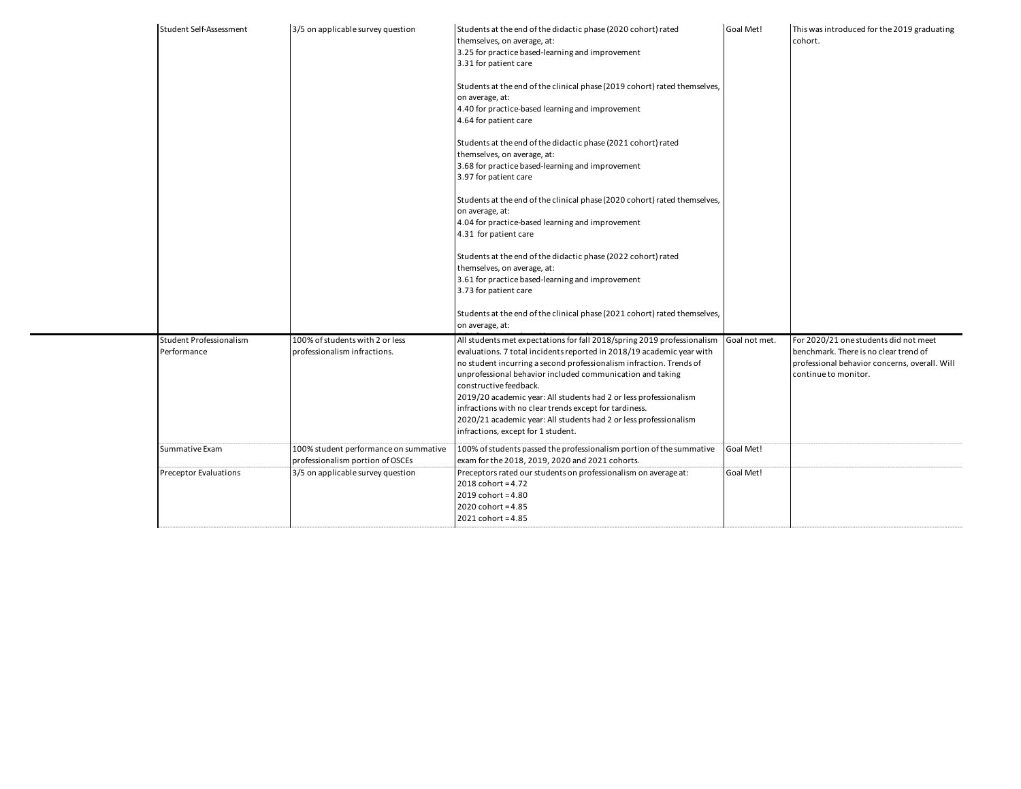| Student Self-Assessment                | 3/5 on applicable survey question                                         | Students at the end of the didactic phase (2020 cohort) rated<br>themselves, on average, at:<br>3.25 for practice based-learning and improvement<br>3.31 for patient care                                                                                                                                                                                                                                                                                                                                                                                | Goal Met!     | This was introduced for the 2019 graduating<br>cohort.                                                                                                  |
|----------------------------------------|---------------------------------------------------------------------------|----------------------------------------------------------------------------------------------------------------------------------------------------------------------------------------------------------------------------------------------------------------------------------------------------------------------------------------------------------------------------------------------------------------------------------------------------------------------------------------------------------------------------------------------------------|---------------|---------------------------------------------------------------------------------------------------------------------------------------------------------|
|                                        |                                                                           | Students at the end of the clinical phase (2019 cohort) rated themselves,<br>on average, at:<br>4.40 for practice-based learning and improvement<br>4.64 for patient care                                                                                                                                                                                                                                                                                                                                                                                |               |                                                                                                                                                         |
|                                        |                                                                           | Students at the end of the didactic phase (2021 cohort) rated<br>themselves, on average, at:<br>3.68 for practice based-learning and improvement<br>3.97 for patient care                                                                                                                                                                                                                                                                                                                                                                                |               |                                                                                                                                                         |
|                                        |                                                                           | Students at the end of the clinical phase (2020 cohort) rated themselves,<br>on average, at:<br>4.04 for practice-based learning and improvement<br>4.31 for patient care                                                                                                                                                                                                                                                                                                                                                                                |               |                                                                                                                                                         |
|                                        |                                                                           | Students at the end of the didactic phase (2022 cohort) rated<br>themselves, on average, at:<br>3.61 for practice based-learning and improvement<br>3.73 for patient care                                                                                                                                                                                                                                                                                                                                                                                |               |                                                                                                                                                         |
|                                        |                                                                           | Students at the end of the clinical phase (2021 cohort) rated themselves,<br>on average, at:                                                                                                                                                                                                                                                                                                                                                                                                                                                             |               |                                                                                                                                                         |
| Student Professionalism<br>Performance | 100% of students with 2 or less<br>professionalism infractions.           | All students met expectations for fall 2018/spring 2019 professionalism<br>evaluations. 7 total incidents reported in 2018/19 academic year with<br>no student incurring a second professionalism infraction. Trends of<br>unprofessional behavior included communication and taking<br>constructive feedback.<br>2019/20 academic year: All students had 2 or less professionalism<br>infractions with no clear trends except for tardiness.<br>2020/21 academic year: All students had 2 or less professionalism<br>infractions, except for 1 student. | Goal not met. | For 2020/21 one students did not meet<br>benchmark. There is no clear trend of<br>professional behavior concerns, overall. Will<br>continue to monitor. |
| Summative Exam                         | 100% student performance on summative<br>professionalism portion of OSCEs | 100% of students passed the professionalism portion of the summative<br>exam for the 2018, 2019, 2020 and 2021 cohorts.                                                                                                                                                                                                                                                                                                                                                                                                                                  | Goal Met!     |                                                                                                                                                         |
| <b>Preceptor Evaluations</b>           | 3/5 on applicable survey question                                         | Preceptors rated our students on professionalism on average at:<br>$2018$ cohort = 4.72<br>$2019$ cohort = 4.80<br>$2020$ cohort = 4.85<br>2021 cohort = 4.85                                                                                                                                                                                                                                                                                                                                                                                            | Goal Met!     |                                                                                                                                                         |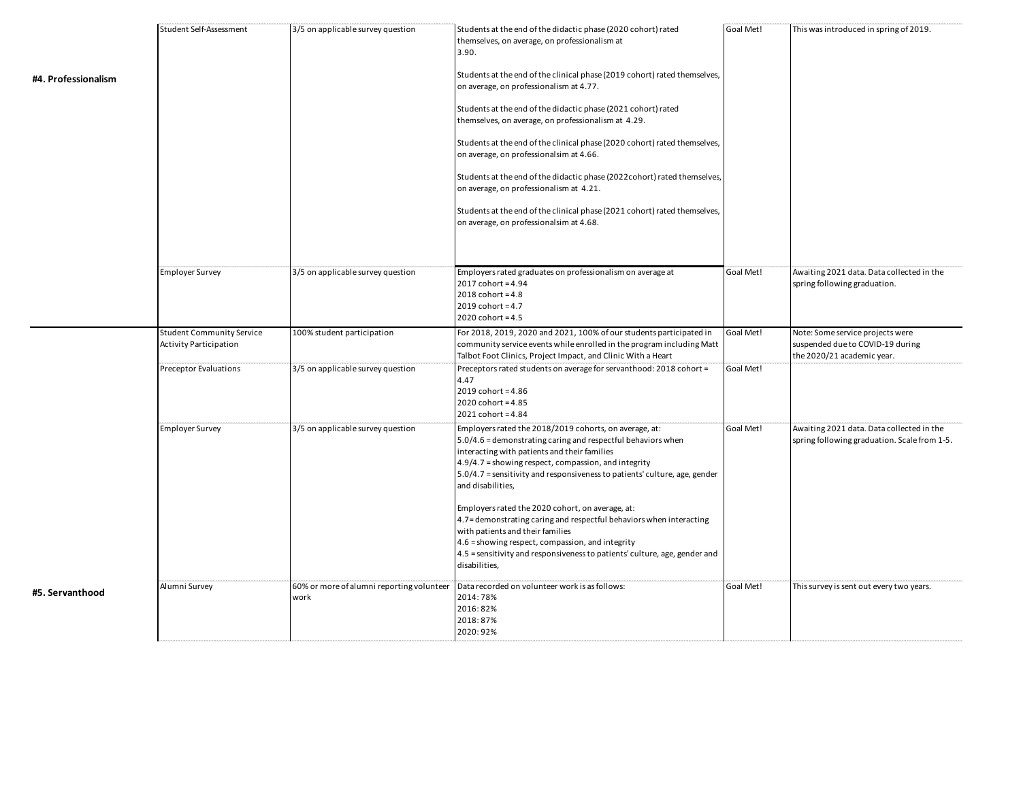| #4. Professionalism | Student Self-Assessment                                           | 3/5 on applicable survey question                 | Students at the end of the didactic phase (2020 cohort) rated<br>themselves, on average, on professionalism at<br>3.90.<br>Students at the end of the clinical phase (2019 cohort) rated themselves,<br>on average, on professionalism at 4.77.<br>Students at the end of the didactic phase (2021 cohort) rated<br>themselves, on average, on professionalism at 4.29.<br>Students at the end of the clinical phase (2020 cohort) rated themselves,<br>on average, on professionalsim at 4.66.<br>Students at the end of the didactic phase (2022cohort) rated themselves,<br>on average, on professionalism at 4.21.<br>Students at the end of the clinical phase (2021 cohort) rated themselves,<br>on average, on professionalsim at 4.68. | Goal Met! | This was introduced in spring of 2019.                                                             |
|---------------------|-------------------------------------------------------------------|---------------------------------------------------|------------------------------------------------------------------------------------------------------------------------------------------------------------------------------------------------------------------------------------------------------------------------------------------------------------------------------------------------------------------------------------------------------------------------------------------------------------------------------------------------------------------------------------------------------------------------------------------------------------------------------------------------------------------------------------------------------------------------------------------------|-----------|----------------------------------------------------------------------------------------------------|
|                     | <b>Employer Survey</b>                                            | 3/5 on applicable survey question                 | Employers rated graduates on professionalism on average at<br>$2017$ cohort = 4.94<br>$2018$ cohort = 4.8<br>$2019$ cohort = 4.7<br>$2020$ cohort = 4.5                                                                                                                                                                                                                                                                                                                                                                                                                                                                                                                                                                                        | Goal Met! | Awaiting 2021 data. Data collected in the<br>spring following graduation.                          |
|                     | <b>Student Community Service</b><br><b>Activity Participation</b> | 100% student participation                        | For 2018, 2019, 2020 and 2021, 100% of our students participated in<br>community service events while enrolled in the program including Matt<br>Talbot Foot Clinics, Project Impact, and Clinic With a Heart                                                                                                                                                                                                                                                                                                                                                                                                                                                                                                                                   | Goal Met! | Note: Some service projects were<br>suspended due to COVID-19 during<br>the 2020/21 academic year. |
|                     | Preceptor Evaluations                                             | 3/5 on applicable survey question                 | Preceptors rated students on average for servanthood: 2018 cohort =<br>4.47<br>2019 cohort = 4.86<br>$2020$ cohort = 4.85<br>2021 cohort = 4.84                                                                                                                                                                                                                                                                                                                                                                                                                                                                                                                                                                                                | Goal Met! |                                                                                                    |
|                     | <b>Employer Survey</b>                                            | 3/5 on applicable survey question                 | Employers rated the 2018/2019 cohorts, on average, at:<br>5.0/4.6 = demonstrating caring and respectful behaviors when<br>interacting with patients and their families<br>4.9/4.7 = showing respect, compassion, and integrity<br>5.0/4.7 = sensitivity and responsiveness to patients' culture, age, gender<br>and disabilities,<br>Employers rated the 2020 cohort, on average, at:<br>4.7 = demonstrating caring and respectful behaviors when interacting<br>with patients and their families<br>4.6 = showing respect, compassion, and integrity<br>4.5 = sensitivity and responsiveness to patients' culture, age, gender and<br>disabilities,                                                                                           | Goal Met! | Awaiting 2021 data. Data collected in the<br>spring following graduation. Scale from 1-5.          |
| #5. Servanthood     | Alumni Survey                                                     | 60% or more of alumni reporting volunteer<br>work | Data recorded on volunteer work is as follows:<br>2014:78%<br>2016:82%<br>2018:87%<br>2020:92%                                                                                                                                                                                                                                                                                                                                                                                                                                                                                                                                                                                                                                                 | Goal Met! | This survey is sent out every two years.                                                           |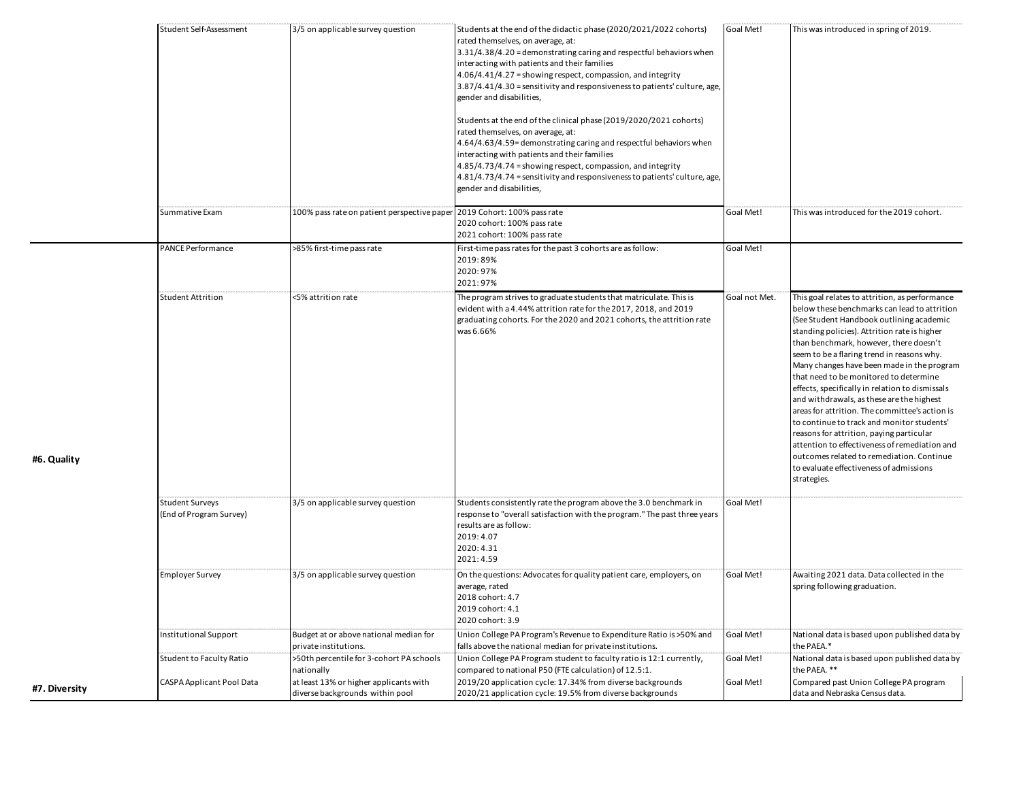| 100% pass rate on patient perspective paper 2019 Cohort: 100% pass rate<br>Goal Met!<br>Summative Exam<br>This was introduced for the 2019 cohort.<br>2020 cohort: 100% pass rate<br>2021 cohort: 100% pass rate<br><b>PANCE Performance</b><br>>85% first-time pass rate<br>First-time pass rates for the past 3 cohorts are as follow:<br>Goal Met!<br>2019:89%<br>2020:97%<br>2021:97%<br><b>Student Attrition</b><br><5% attrition rate<br>The program strives to graduate students that matriculate. This is<br>Goal not Met.<br>This goal relates to attrition, as performance<br>evident with a 4.44% attrition rate for the 2017, 2018, and 2019<br>below these benchmarks can lead to attrition<br>graduating cohorts. For the 2020 and 2021 cohorts, the attrition rate<br>(See Student Handbook outlining academic<br>was 6.66%<br>standing policies). Attrition rate is higher<br>than benchmark, however, there doesn't<br>seem to be a flaring trend in reasons why.<br>Many changes have been made in the program<br>that need to be monitored to determine |  |
|----------------------------------------------------------------------------------------------------------------------------------------------------------------------------------------------------------------------------------------------------------------------------------------------------------------------------------------------------------------------------------------------------------------------------------------------------------------------------------------------------------------------------------------------------------------------------------------------------------------------------------------------------------------------------------------------------------------------------------------------------------------------------------------------------------------------------------------------------------------------------------------------------------------------------------------------------------------------------------------------------------------------------------------------------------------------------|--|
|                                                                                                                                                                                                                                                                                                                                                                                                                                                                                                                                                                                                                                                                                                                                                                                                                                                                                                                                                                                                                                                                            |  |
|                                                                                                                                                                                                                                                                                                                                                                                                                                                                                                                                                                                                                                                                                                                                                                                                                                                                                                                                                                                                                                                                            |  |
| effects, specifically in relation to dismissals<br>and withdrawals, as these are the highest<br>areas for attrition. The committee's action is<br>to continue to track and monitor students'<br>reasons for attrition, paying particular<br>attention to effectiveness of remediation and<br>outcomes related to remediation. Continue<br>#6. Quality<br>to evaluate effectiveness of admissions<br>strategies.                                                                                                                                                                                                                                                                                                                                                                                                                                                                                                                                                                                                                                                            |  |
| Goal Met!<br><b>Student Surveys</b><br>3/5 on applicable survey question<br>Students consistently rate the program above the 3.0 benchmark in<br>(End of Program Survey)<br>response to "overall satisfaction with the program." The past three years<br>results are as follow:<br>2019:4.07<br>2020:4.31<br>2021:4.59                                                                                                                                                                                                                                                                                                                                                                                                                                                                                                                                                                                                                                                                                                                                                     |  |
| <b>Employer Survey</b><br>3/5 on applicable survey question<br>On the questions: Advocates for quality patient care, employers, on<br>Goal Met!<br>Awaiting 2021 data. Data collected in the<br>spring following graduation.<br>average, rated<br>2018 cohort: 4.7<br>2019 cohort: 4.1<br>2020 cohort: 3.9                                                                                                                                                                                                                                                                                                                                                                                                                                                                                                                                                                                                                                                                                                                                                                 |  |
| Goal Met!<br>Institutional Support<br>Budget at or above national median for<br>Union College PA Program's Revenue to Expenditure Ratio is >50% and<br>National data is based upon published data by<br>the PAEA.*<br>private institutions.<br>falls above the national median for private institutions.                                                                                                                                                                                                                                                                                                                                                                                                                                                                                                                                                                                                                                                                                                                                                                   |  |
| >50th percentile for 3-cohort PA schools<br>Union College PA Program student to faculty ratio is 12:1 currently,<br>Goal Met!<br>National data is based upon published data by<br>Student to Faculty Ratio<br>the PAEA. **<br>compared to national P50 (FTE calculation) of 12.5:1.<br>nationally<br>CASPA Applicant Pool Data<br>at least 13% or higher applicants with<br>2019/20 application cycle: 17.34% from diverse backgrounds<br>Compared past Union College PA program<br>Goal Met!<br>#7. Diversity<br>diverse backgrounds within pool<br>2020/21 application cycle: 19.5% from diverse backgrounds<br>data and Nebraska Census data.                                                                                                                                                                                                                                                                                                                                                                                                                           |  |